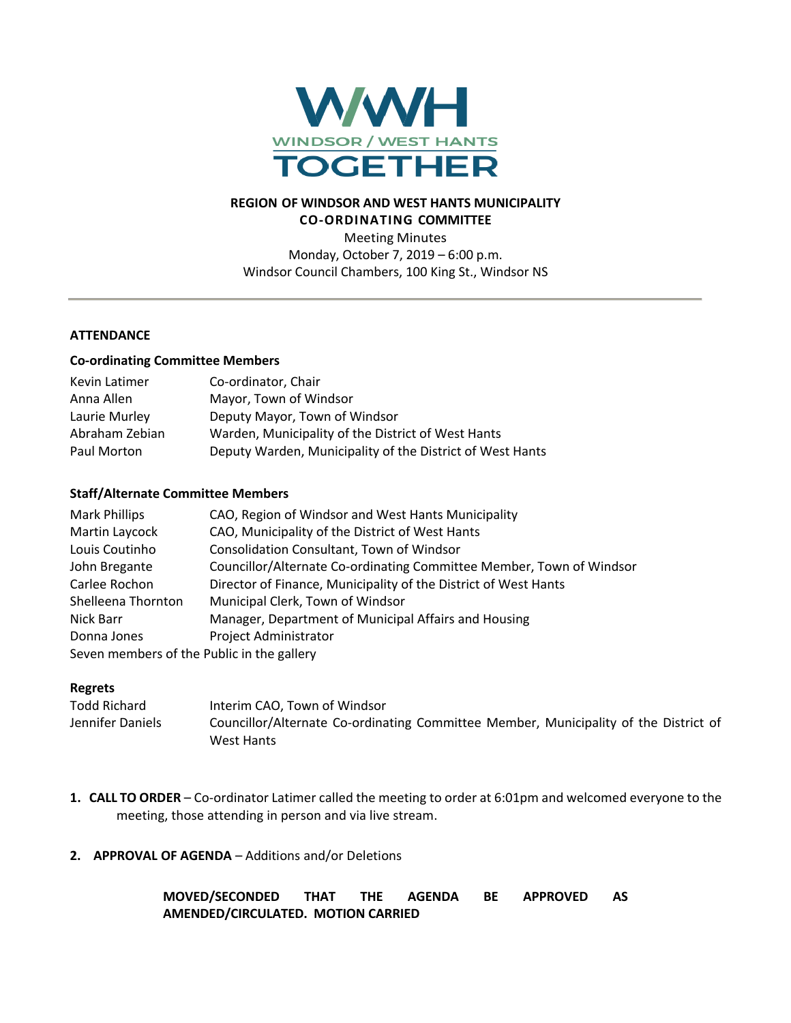

# **REGION OF WINDSOR AND WEST HANTS MUNICIPALITY CO-ORDINATING COMMITTEE**

Meeting Minutes Monday, October 7, 2019 – 6:00 p.m. Windsor Council Chambers, 100 King St., Windsor NS

### **ATTENDANCE**

#### **Co-ordinating Committee Members**

| Kevin Latimer  | Co-ordinator, Chair                                       |
|----------------|-----------------------------------------------------------|
| Anna Allen     | Mayor, Town of Windsor                                    |
| Laurie Murley  | Deputy Mayor, Town of Windsor                             |
| Abraham Zebian | Warden, Municipality of the District of West Hants        |
| Paul Morton    | Deputy Warden, Municipality of the District of West Hants |

#### **Staff/Alternate Committee Members**

| <b>Mark Phillips</b>                       | CAO, Region of Windsor and West Hants Municipality                   |
|--------------------------------------------|----------------------------------------------------------------------|
| Martin Laycock                             | CAO, Municipality of the District of West Hants                      |
| Louis Coutinho                             | Consolidation Consultant, Town of Windsor                            |
| John Bregante                              | Councillor/Alternate Co-ordinating Committee Member, Town of Windsor |
| Carlee Rochon                              | Director of Finance, Municipality of the District of West Hants      |
| Shelleena Thornton                         | Municipal Clerk, Town of Windsor                                     |
| Nick Barr                                  | Manager, Department of Municipal Affairs and Housing                 |
| Donna Jones                                | <b>Project Administrator</b>                                         |
| Seven members of the Public in the gallery |                                                                      |

#### **Regrets**

| Todd Richard     | Interim CAO, Town of Windsor                                                         |
|------------------|--------------------------------------------------------------------------------------|
| Jennifer Daniels | Councillor/Alternate Co-ordinating Committee Member, Municipality of the District of |
|                  | West Hants                                                                           |

**1. CALL TO ORDER** – Co-ordinator Latimer called the meeting to order at 6:01pm and welcomed everyone to the meeting, those attending in person and via live stream.

### **2. APPROVAL OF AGENDA** – Additions and/or Deletions

**MOVED/SECONDED THAT THE AGENDA BE APPROVED AS AMENDED/CIRCULATED. MOTION CARRIED**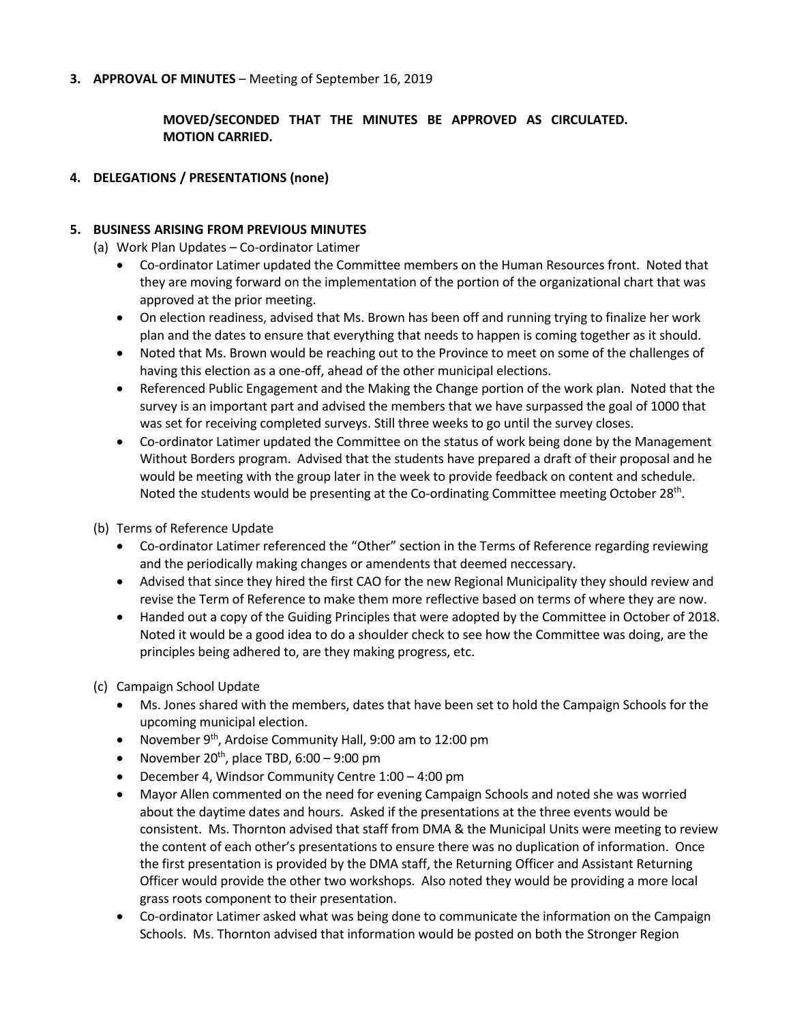### **3. APPROVAL OF MINUTES** – Meeting of September 16, 2019

# **MOVED/SECONDED THAT THE MINUTES BE APPROVED AS CIRCULATED. MOTION CARRIED.**

### **4. DELEGATIONS / PRESENTATIONS (none)**

### **5. BUSINESS ARISING FROM PREVIOUS MINUTES**

(a) Work Plan Updates – Co-ordinator Latimer

- Co-ordinator Latimer updated the Committee members on the Human Resources front. Noted that they are moving forward on the implementation of the portion of the organizational chart that was approved at the prior meeting.
- On election readiness, advised that Ms. Brown has been off and running trying to finalize her work plan and the dates to ensure that everything that needs to happen is coming together as it should.
- Noted that Ms. Brown would be reaching out to the Province to meet on some of the challenges of having this election as a one-off, ahead of the other municipal elections.
- Referenced Public Engagement and the Making the Change portion of the work plan. Noted that the survey is an important part and advised the members that we have surpassed the goal of 1000 that was set for receiving completed surveys. Still three weeks to go until the survey closes.
- Co-ordinator Latimer updated the Committee on the status of work being done by the Management Without Borders program. Advised that the students have prepared a draft of their proposal and he would be meeting with the group later in the week to provide feedback on content and schedule. Noted the students would be presenting at the Co-ordinating Committee meeting October 28<sup>th</sup>.

(b) Terms of Reference Update

- Co-ordinator Latimer referenced the "Other" section in the Terms of Reference regarding reviewing and the periodically making changes or amendents that deemed neccessary.
- Advised that since they hired the first CAO for the new Regional Municipality they should review and revise the Term of Reference to make them more reflective based on terms of where they are now.
- Handed out a copy of the Guiding Principles that were adopted by the Committee in October of 2018. Noted it would be a good idea to do a shoulder check to see how the Committee was doing, are the principles being adhered to, are they making progress, etc.
- (c) Campaign School Update
	- Ms. Jones shared with the members, dates that have been set to hold the Campaign Schools for the upcoming municipal election.
	- November 9<sup>th</sup>, Ardoise Community Hall, 9:00 am to 12:00 pm
	- November 20<sup>th</sup>, place TBD, 6:00 9:00 pm
	- December 4, Windsor Community Centre 1:00 4:00 pm
	- Mayor Allen commented on the need for evening Campaign Schools and noted she was worried about the daytime dates and hours. Asked if the presentations at the three events would be consistent. Ms. Thornton advised that staff from DMA & the Municipal Units were meeting to review the content of each other's presentations to ensure there was no duplication of information. Once the first presentation is provided by the DMA staff, the Returning Officer and Assistant Returning Officer would provide the other two workshops. Also noted they would be providing a more local grass roots component to their presentation.
	- Co-ordinator Latimer asked what was being done to communicate the information on the Campaign Schools. Ms. Thornton advised that information would be posted on both the Stronger Region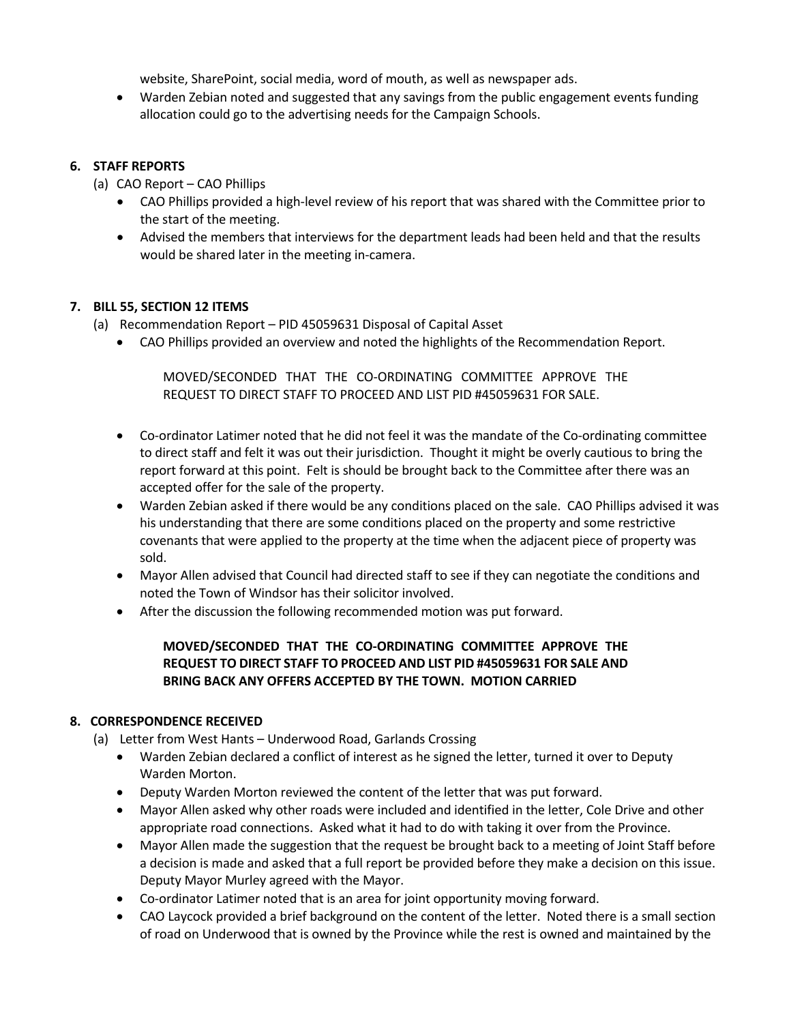website, SharePoint, social media, word of mouth, as well as newspaper ads.

• Warden Zebian noted and suggested that any savings from the public engagement events funding allocation could go to the advertising needs for the Campaign Schools.

### **6. STAFF REPORTS**

- (a) CAO Report CAO Phillips
	- CAO Phillips provided a high-level review of his report that was shared with the Committee prior to the start of the meeting.
	- Advised the members that interviews for the department leads had been held and that the results would be shared later in the meeting in-camera.

### **7. BILL 55, SECTION 12 ITEMS**

- (a) Recommendation Report PID 45059631 Disposal of Capital Asset
	- CAO Phillips provided an overview and noted the highlights of the Recommendation Report.

MOVED/SECONDED THAT THE CO-ORDINATING COMMITTEE APPROVE THE REQUEST TO DIRECT STAFF TO PROCEED AND LIST PID #45059631 FOR SALE.

- Co-ordinator Latimer noted that he did not feel it was the mandate of the Co-ordinating committee to direct staff and felt it was out their jurisdiction. Thought it might be overly cautious to bring the report forward at this point. Felt is should be brought back to the Committee after there was an accepted offer for the sale of the property.
- Warden Zebian asked if there would be any conditions placed on the sale. CAO Phillips advised it was his understanding that there are some conditions placed on the property and some restrictive covenants that were applied to the property at the time when the adjacent piece of property was sold.
- Mayor Allen advised that Council had directed staff to see if they can negotiate the conditions and noted the Town of Windsor has their solicitor involved.
- After the discussion the following recommended motion was put forward.

# **MOVED/SECONDED THAT THE CO-ORDINATING COMMITTEE APPROVE THE REQUEST TO DIRECT STAFF TO PROCEED AND LIST PID #45059631 FOR SALE AND BRING BACK ANY OFFERS ACCEPTED BY THE TOWN. MOTION CARRIED**

# **8. CORRESPONDENCE RECEIVED**

- (a) Letter from West Hants Underwood Road, Garlands Crossing
	- Warden Zebian declared a conflict of interest as he signed the letter, turned it over to Deputy Warden Morton.
	- Deputy Warden Morton reviewed the content of the letter that was put forward.
	- Mayor Allen asked why other roads were included and identified in the letter, Cole Drive and other appropriate road connections. Asked what it had to do with taking it over from the Province.
	- Mayor Allen made the suggestion that the request be brought back to a meeting of Joint Staff before a decision is made and asked that a full report be provided before they make a decision on this issue. Deputy Mayor Murley agreed with the Mayor.
	- Co-ordinator Latimer noted that is an area for joint opportunity moving forward.
	- CAO Laycock provided a brief background on the content of the letter. Noted there is a small section of road on Underwood that is owned by the Province while the rest is owned and maintained by the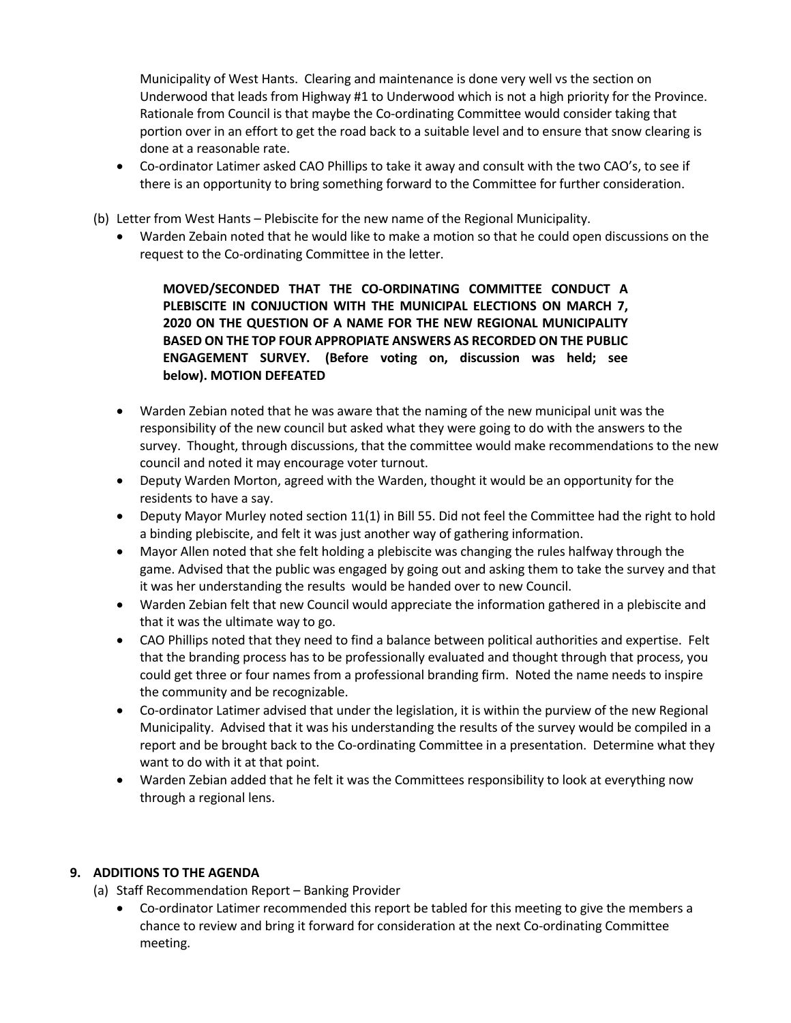Municipality of West Hants. Clearing and maintenance is done very well vs the section on Underwood that leads from Highway #1 to Underwood which is not a high priority for the Province. Rationale from Council is that maybe the Co-ordinating Committee would consider taking that portion over in an effort to get the road back to a suitable level and to ensure that snow clearing is done at a reasonable rate.

- Co-ordinator Latimer asked CAO Phillips to take it away and consult with the two CAO's, to see if there is an opportunity to bring something forward to the Committee for further consideration.
- (b) Letter from West Hants Plebiscite for the new name of the Regional Municipality.
	- Warden Zebain noted that he would like to make a motion so that he could open discussions on the request to the Co-ordinating Committee in the letter.

**MOVED/SECONDED THAT THE CO-ORDINATING COMMITTEE CONDUCT A PLEBISCITE IN CONJUCTION WITH THE MUNICIPAL ELECTIONS ON MARCH 7, 2020 ON THE QUESTION OF A NAME FOR THE NEW REGIONAL MUNICIPALITY BASED ON THE TOP FOUR APPROPIATE ANSWERS AS RECORDED ON THE PUBLIC ENGAGEMENT SURVEY. (Before voting on, discussion was held; see below). MOTION DEFEATED**

- Warden Zebian noted that he was aware that the naming of the new municipal unit was the responsibility of the new council but asked what they were going to do with the answers to the survey. Thought, through discussions, that the committee would make recommendations to the new council and noted it may encourage voter turnout.
- Deputy Warden Morton, agreed with the Warden, thought it would be an opportunity for the residents to have a say.
- Deputy Mayor Murley noted section 11(1) in Bill 55. Did not feel the Committee had the right to hold a binding plebiscite, and felt it was just another way of gathering information.
- Mayor Allen noted that she felt holding a plebiscite was changing the rules halfway through the game. Advised that the public was engaged by going out and asking them to take the survey and that it was her understanding the results would be handed over to new Council.
- Warden Zebian felt that new Council would appreciate the information gathered in a plebiscite and that it was the ultimate way to go.
- CAO Phillips noted that they need to find a balance between political authorities and expertise. Felt that the branding process has to be professionally evaluated and thought through that process, you could get three or four names from a professional branding firm. Noted the name needs to inspire the community and be recognizable.
- Co-ordinator Latimer advised that under the legislation, it is within the purview of the new Regional Municipality. Advised that it was his understanding the results of the survey would be compiled in a report and be brought back to the Co-ordinating Committee in a presentation. Determine what they want to do with it at that point.
- Warden Zebian added that he felt it was the Committees responsibility to look at everything now through a regional lens.

# **9. ADDITIONS TO THE AGENDA**

(a) Staff Recommendation Report – Banking Provider

• Co-ordinator Latimer recommended this report be tabled for this meeting to give the members a chance to review and bring it forward for consideration at the next Co-ordinating Committee meeting.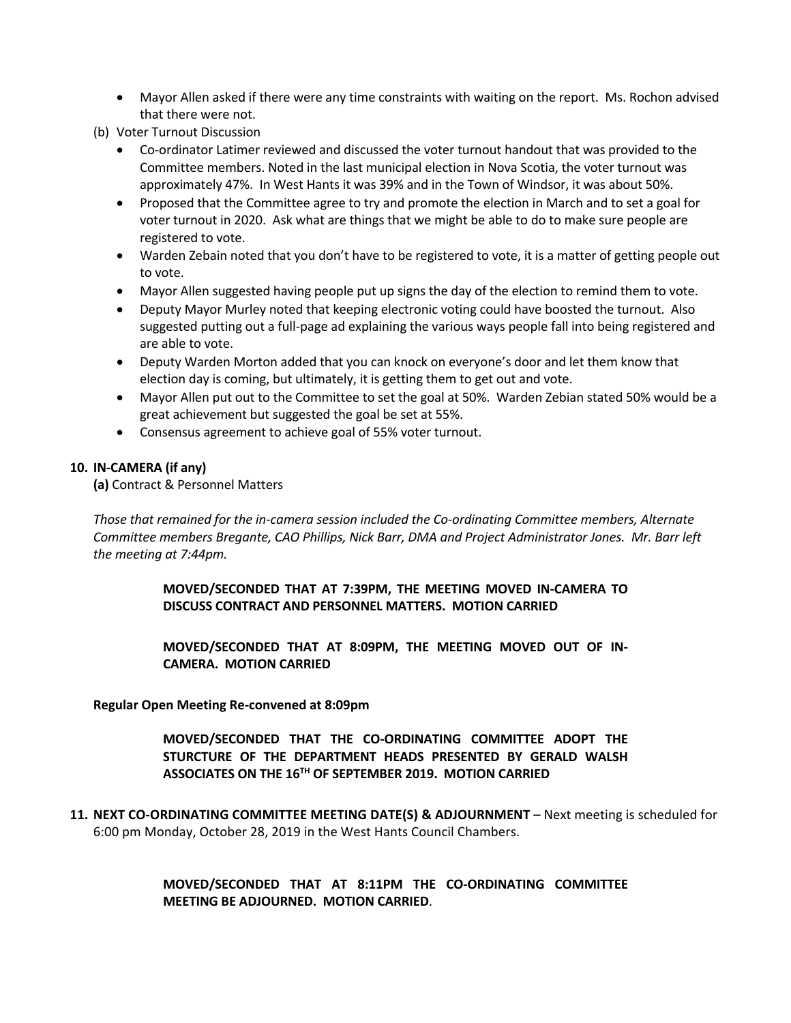- Mayor Allen asked if there were any time constraints with waiting on the report. Ms. Rochon advised that there were not.
- (b) Voter Turnout Discussion
	- Co-ordinator Latimer reviewed and discussed the voter turnout handout that was provided to the Committee members. Noted in the last municipal election in Nova Scotia, the voter turnout was approximately 47%. In West Hants it was 39% and in the Town of Windsor, it was about 50%.
	- Proposed that the Committee agree to try and promote the election in March and to set a goal for voter turnout in 2020. Ask what are things that we might be able to do to make sure people are registered to vote.
	- Warden Zebain noted that you don't have to be registered to vote, it is a matter of getting people out to vote.
	- Mayor Allen suggested having people put up signs the day of the election to remind them to vote.
	- Deputy Mayor Murley noted that keeping electronic voting could have boosted the turnout. Also suggested putting out a full-page ad explaining the various ways people fall into being registered and are able to vote.
	- Deputy Warden Morton added that you can knock on everyone's door and let them know that election day is coming, but ultimately, it is getting them to get out and vote.
	- Mayor Allen put out to the Committee to set the goal at 50%. Warden Zebian stated 50% would be a great achievement but suggested the goal be set at 55%.
	- Consensus agreement to achieve goal of 55% voter turnout.

### **10. IN-CAMERA (if any)**

**(a)** Contract & Personnel Matters

*Those that remained for the in-camera session included the Co-ordinating Committee members, Alternate Committee members Bregante, CAO Phillips, Nick Barr, DMA and Project Administrator Jones. Mr. Barr left the meeting at 7:44pm.*

> **MOVED/SECONDED THAT AT 7:39PM, THE MEETING MOVED IN-CAMERA TO DISCUSS CONTRACT AND PERSONNEL MATTERS. MOTION CARRIED**

> **MOVED/SECONDED THAT AT 8:09PM, THE MEETING MOVED OUT OF IN-CAMERA. MOTION CARRIED**

### **Regular Open Meeting Re-convened at 8:09pm**

**MOVED/SECONDED THAT THE CO-ORDINATING COMMITTEE ADOPT THE STURCTURE OF THE DEPARTMENT HEADS PRESENTED BY GERALD WALSH ASSOCIATES ON THE 16TH OF SEPTEMBER 2019. MOTION CARRIED**

**11. NEXT CO-ORDINATING COMMITTEE MEETING DATE(S) & ADJOURNMENT** – Next meeting is scheduled for 6:00 pm Monday, October 28, 2019 in the West Hants Council Chambers.

> **MOVED/SECONDED THAT AT 8:11PM THE CO-ORDINATING COMMITTEE MEETING BE ADJOURNED. MOTION CARRIED**.